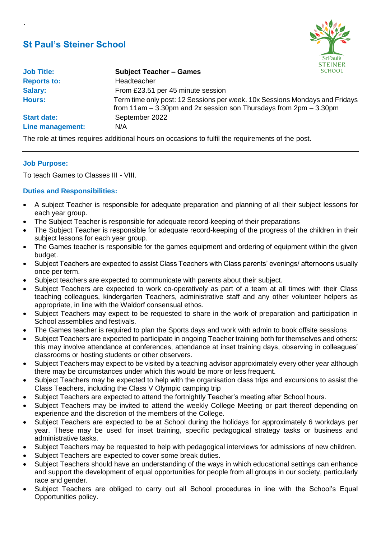# **St Paul's Steiner School**



| <b>Job Title:</b>  | <b>Subject Teacher - Games</b>                                                                                                                               | <b>SCHOOL</b> |
|--------------------|--------------------------------------------------------------------------------------------------------------------------------------------------------------|---------------|
| <b>Reports to:</b> | Headteacher                                                                                                                                                  |               |
| Salary:            | From £23.51 per 45 minute session                                                                                                                            |               |
| <b>Hours:</b>      | Term time only post: 12 Sessions per week. 10x Sessions Mondays and Fridays<br>from $11$ am $-3.30$ pm and $2x$ session son Thursdays from $2$ pm $-3.30$ pm |               |
| <b>Start date:</b> | September 2022                                                                                                                                               |               |
| Line management:   | N/A                                                                                                                                                          |               |

The role at times requires additional hours on occasions to fulfil the requirements of the post.

## **Job Purpose:**

`

To teach Games to Classes III - VIII.

# **Duties and Responsibilities:**

- A subject Teacher is responsible for adequate preparation and planning of all their subject lessons for each year group.
- The Subject Teacher is responsible for adequate record-keeping of their preparations
- The Subject Teacher is responsible for adequate record-keeping of the progress of the children in their subject lessons for each year group.
- The Games teacher is responsible for the games equipment and ordering of equipment within the given budget.
- Subject Teachers are expected to assist Class Teachers with Class parents' evenings/ afternoons usually once per term.
- Subject teachers are expected to communicate with parents about their subject.
- Subject Teachers are expected to work co-operatively as part of a team at all times with their Class teaching colleagues, kindergarten Teachers, administrative staff and any other volunteer helpers as appropriate, in line with the Waldorf consensual ethos.
- Subject Teachers may expect to be requested to share in the work of preparation and participation in School assemblies and festivals.
- The Games teacher is required to plan the Sports days and work with admin to book offsite sessions
- Subject Teachers are expected to participate in ongoing Teacher training both for themselves and others: this may involve attendance at conferences, attendance at inset training days, observing in colleagues' classrooms or hosting students or other observers.
- Subject Teachers may expect to be visited by a teaching advisor approximately every other year although there may be circumstances under which this would be more or less frequent.
- Subject Teachers may be expected to help with the organisation class trips and excursions to assist the Class Teachers, including the Class V Olympic camping trip
- Subject Teachers are expected to attend the fortnightly Teacher's meeting after School hours.
- Subject Teachers may be invited to attend the weekly College Meeting or part thereof depending on experience and the discretion of the members of the College.
- Subject Teachers are expected to be at School during the holidays for approximately 6 workdays per year. These may be used for inset training, specific pedagogical strategy tasks or business and administrative tasks.
- Subject Teachers may be requested to help with pedagogical interviews for admissions of new children.
- Subject Teachers are expected to cover some break duties.
- Subject Teachers should have an understanding of the ways in which educational settings can enhance and support the development of equal opportunities for people from all groups in our society, particularly race and gender.
- Subject Teachers are obliged to carry out all School procedures in line with the School's Equal Opportunities policy.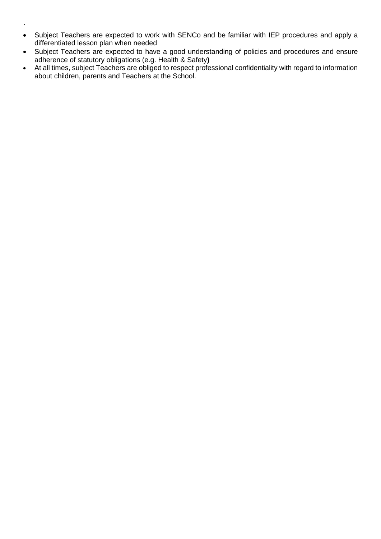- `
- Subject Teachers are expected to work with SENCo and be familiar with IEP procedures and apply a differentiated lesson plan when needed
- Subject Teachers are expected to have a good understanding of policies and procedures and ensure adherence of statutory obligations (e.g. Health & Safety**)**
- At all times, subject Teachers are obliged to respect professional confidentiality with regard to information about children, parents and Teachers at the School.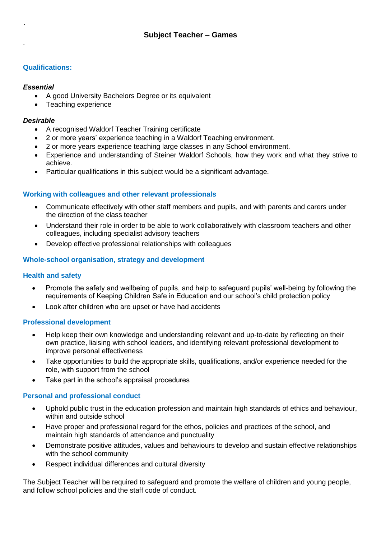# **Qualifications:**

## *Essential*

`

.

- A good University Bachelors Degree or its equivalent
- Teaching experience

### *Desirable*

- A recognised Waldorf Teacher Training certificate
- 2 or more years' experience teaching in a Waldorf Teaching environment.
- 2 or more years experience teaching large classes in any School environment.
- Experience and understanding of Steiner Waldorf Schools, how they work and what they strive to achieve.
- Particular qualifications in this subject would be a significant advantage.

## **Working with colleagues and other relevant professionals**

- Communicate effectively with other staff members and pupils, and with parents and carers under the direction of the class teacher
- Understand their role in order to be able to work collaboratively with classroom teachers and other colleagues, including specialist advisory teachers
- Develop effective professional relationships with colleagues

## **Whole-school organisation, strategy and development**

### **Health and safety**

- Promote the safety and wellbeing of pupils, and help to safeguard pupils' well-being by following the requirements of Keeping Children Safe in Education and our school's child protection policy
- Look after children who are upset or have had accidents

### **Professional development**

- Help keep their own knowledge and understanding relevant and up-to-date by reflecting on their own practice, liaising with school leaders, and identifying relevant professional development to improve personal effectiveness
- Take opportunities to build the appropriate skills, qualifications, and/or experience needed for the role, with support from the school
- Take part in the school's appraisal procedures

### **Personal and professional conduct**

- Uphold public trust in the education profession and maintain high standards of ethics and behaviour, within and outside school
- Have proper and professional regard for the ethos, policies and practices of the school, and maintain high standards of attendance and punctuality
- Demonstrate positive attitudes, values and behaviours to develop and sustain effective relationships with the school community
- Respect individual differences and cultural diversity

The Subject Teacher will be required to safeguard and promote the welfare of children and young people, and follow school policies and the staff code of conduct.